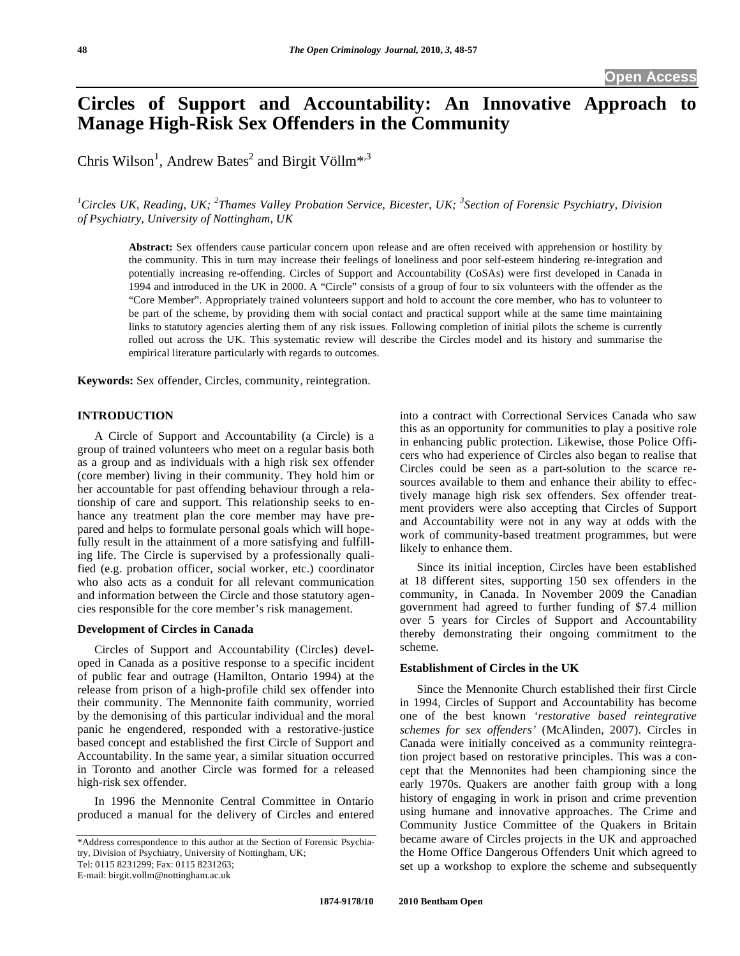# **Circles of Support and Accountability: An Innovative Approach to Manage High-Risk Sex Offenders in the Community**

Chris Wilson<sup>1</sup>, Andrew Bates<sup>2</sup> and Birgit Völlm<sup>\*,3</sup>

*1 Circles UK, Reading, UK; <sup>2</sup> Thames Valley Probation Service, Bicester, UK; <sup>3</sup> Section of Forensic Psychiatry, Division of Psychiatry, University of Nottingham, UK* 

**Abstract:** Sex offenders cause particular concern upon release and are often received with apprehension or hostility by the community. This in turn may increase their feelings of loneliness and poor self-esteem hindering re-integration and potentially increasing re-offending. Circles of Support and Accountability (CoSAs) were first developed in Canada in 1994 and introduced in the UK in 2000. A "Circle" consists of a group of four to six volunteers with the offender as the "Core Member". Appropriately trained volunteers support and hold to account the core member, who has to volunteer to be part of the scheme, by providing them with social contact and practical support while at the same time maintaining links to statutory agencies alerting them of any risk issues. Following completion of initial pilots the scheme is currently rolled out across the UK. This systematic review will describe the Circles model and its history and summarise the empirical literature particularly with regards to outcomes.

**Keywords:** Sex offender, Circles, community, reintegration.

# **INTRODUCTION**

A Circle of Support and Accountability (a Circle) is a group of trained volunteers who meet on a regular basis both as a group and as individuals with a high risk sex offender (core member) living in their community. They hold him or her accountable for past offending behaviour through a relationship of care and support. This relationship seeks to enhance any treatment plan the core member may have prepared and helps to formulate personal goals which will hopefully result in the attainment of a more satisfying and fulfilling life. The Circle is supervised by a professionally qualified (e.g. probation officer, social worker, etc.) coordinator who also acts as a conduit for all relevant communication and information between the Circle and those statutory agencies responsible for the core member's risk management.

# **Development of Circles in Canada**

Circles of Support and Accountability (Circles) developed in Canada as a positive response to a specific incident of public fear and outrage (Hamilton, Ontario 1994) at the release from prison of a high-profile child sex offender into their community. The Mennonite faith community, worried by the demonising of this particular individual and the moral panic he engendered, responded with a restorative-justice based concept and established the first Circle of Support and Accountability. In the same year, a similar situation occurred in Toronto and another Circle was formed for a released high-risk sex offender.

In 1996 the Mennonite Central Committee in Ontario produced a manual for the delivery of Circles and entered

Tel: 0115 8231299; Fax: 0115 8231263;

into a contract with Correctional Services Canada who saw this as an opportunity for communities to play a positive role in enhancing public protection. Likewise, those Police Officers who had experience of Circles also began to realise that Circles could be seen as a part-solution to the scarce resources available to them and enhance their ability to effectively manage high risk sex offenders. Sex offender treatment providers were also accepting that Circles of Support and Accountability were not in any way at odds with the work of community-based treatment programmes, but were likely to enhance them.

Since its initial inception, Circles have been established at 18 different sites, supporting 150 sex offenders in the community, in Canada. In November 2009 the Canadian government had agreed to further funding of \$7.4 million over 5 years for Circles of Support and Accountability thereby demonstrating their ongoing commitment to the scheme.

# **Establishment of Circles in the UK**

Since the Mennonite Church established their first Circle in 1994, Circles of Support and Accountability has become one of the best known *'restorative based reintegrative schemes for sex offenders'* (McAlinden, 2007). Circles in Canada were initially conceived as a community reintegration project based on restorative principles. This was a concept that the Mennonites had been championing since the early 1970s. Quakers are another faith group with a long history of engaging in work in prison and crime prevention using humane and innovative approaches. The Crime and Community Justice Committee of the Quakers in Britain became aware of Circles projects in the UK and approached the Home Office Dangerous Offenders Unit which agreed to set up a workshop to explore the scheme and subsequently

<sup>\*</sup>Address correspondence to this author at the Section of Forensic Psychiatry, Division of Psychiatry, University of Nottingham, UK;

E-mail: birgit.vollm@nottingham.ac.uk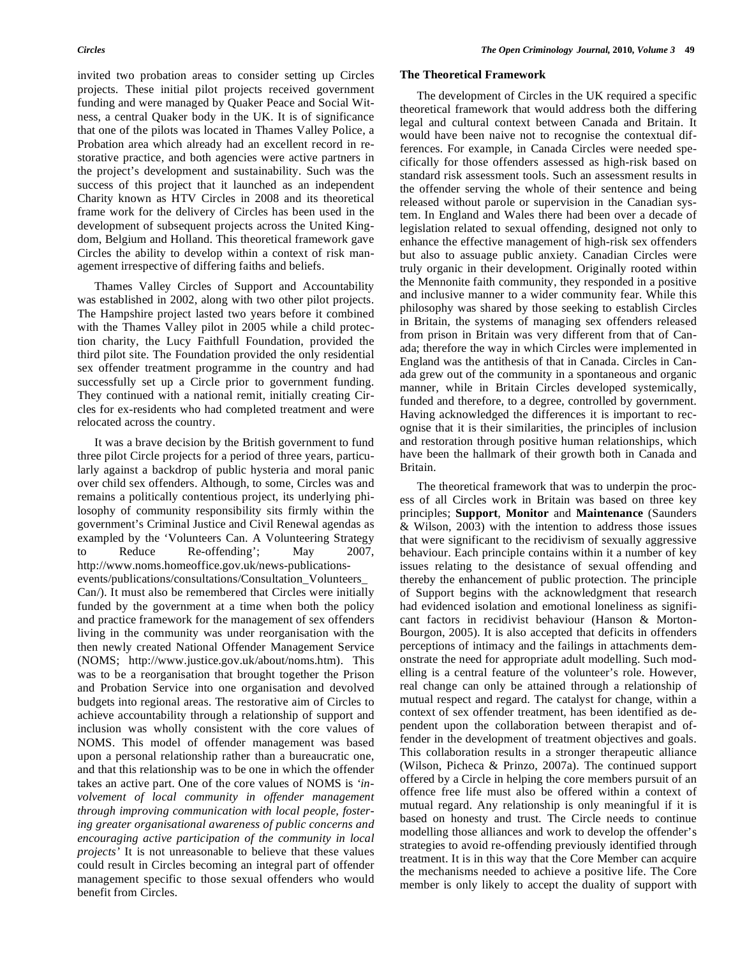invited two probation areas to consider setting up Circles projects. These initial pilot projects received government funding and were managed by Quaker Peace and Social Witness, a central Quaker body in the UK. It is of significance that one of the pilots was located in Thames Valley Police, a Probation area which already had an excellent record in restorative practice, and both agencies were active partners in the project's development and sustainability. Such was the success of this project that it launched as an independent Charity known as HTV Circles in 2008 and its theoretical frame work for the delivery of Circles has been used in the development of subsequent projects across the United Kingdom, Belgium and Holland. This theoretical framework gave Circles the ability to develop within a context of risk management irrespective of differing faiths and beliefs.

Thames Valley Circles of Support and Accountability was established in 2002, along with two other pilot projects. The Hampshire project lasted two years before it combined with the Thames Valley pilot in 2005 while a child protection charity, the Lucy Faithfull Foundation, provided the third pilot site. The Foundation provided the only residential sex offender treatment programme in the country and had successfully set up a Circle prior to government funding. They continued with a national remit, initially creating Circles for ex-residents who had completed treatment and were relocated across the country.

It was a brave decision by the British government to fund three pilot Circle projects for a period of three years, particularly against a backdrop of public hysteria and moral panic over child sex offenders. Although, to some, Circles was and remains a politically contentious project, its underlying philosophy of community responsibility sits firmly within the government's Criminal Justice and Civil Renewal agendas as exampled by the 'Volunteers Can. A Volunteering Strategy Reduce Re-offending'; May 2007, http://www.noms.homeoffice.gov.uk/news-publicationsevents/publications/consultations/Consultation\_Volunteers\_ Can/). It must also be remembered that Circles were initially funded by the government at a time when both the policy and practice framework for the management of sex offenders living in the community was under reorganisation with the then newly created National Offender Management Service (NOMS; http://www.justice.gov.uk/about/noms.htm). This was to be a reorganisation that brought together the Prison and Probation Service into one organisation and devolved budgets into regional areas. The restorative aim of Circles to achieve accountability through a relationship of support and inclusion was wholly consistent with the core values of NOMS. This model of offender management was based upon a personal relationship rather than a bureaucratic one, and that this relationship was to be one in which the offender takes an active part. One of the core values of NOMS is *'involvement of local community in offender management through improving communication with local people, fostering greater organisational awareness of public concerns and encouraging active participation of the community in local projects'* It is not unreasonable to believe that these values could result in Circles becoming an integral part of offender management specific to those sexual offenders who would benefit from Circles.

# **The Theoretical Framework**

The development of Circles in the UK required a specific theoretical framework that would address both the differing legal and cultural context between Canada and Britain. It would have been naive not to recognise the contextual differences. For example, in Canada Circles were needed specifically for those offenders assessed as high-risk based on standard risk assessment tools. Such an assessment results in the offender serving the whole of their sentence and being released without parole or supervision in the Canadian system. In England and Wales there had been over a decade of legislation related to sexual offending, designed not only to enhance the effective management of high-risk sex offenders but also to assuage public anxiety. Canadian Circles were truly organic in their development. Originally rooted within the Mennonite faith community, they responded in a positive and inclusive manner to a wider community fear. While this philosophy was shared by those seeking to establish Circles in Britain, the systems of managing sex offenders released from prison in Britain was very different from that of Canada; therefore the way in which Circles were implemented in England was the antithesis of that in Canada. Circles in Canada grew out of the community in a spontaneous and organic manner, while in Britain Circles developed systemically, funded and therefore, to a degree, controlled by government. Having acknowledged the differences it is important to recognise that it is their similarities, the principles of inclusion and restoration through positive human relationships, which have been the hallmark of their growth both in Canada and Britain.

The theoretical framework that was to underpin the process of all Circles work in Britain was based on three key principles; **Support**, **Monitor** and **Maintenance** (Saunders & Wilson, 2003) with the intention to address those issues that were significant to the recidivism of sexually aggressive behaviour. Each principle contains within it a number of key issues relating to the desistance of sexual offending and thereby the enhancement of public protection. The principle of Support begins with the acknowledgment that research had evidenced isolation and emotional loneliness as significant factors in recidivist behaviour (Hanson & Morton-Bourgon, 2005). It is also accepted that deficits in offenders perceptions of intimacy and the failings in attachments demonstrate the need for appropriate adult modelling. Such modelling is a central feature of the volunteer's role. However, real change can only be attained through a relationship of mutual respect and regard. The catalyst for change, within a context of sex offender treatment, has been identified as dependent upon the collaboration between therapist and offender in the development of treatment objectives and goals. This collaboration results in a stronger therapeutic alliance (Wilson, Picheca & Prinzo, 2007a). The continued support offered by a Circle in helping the core members pursuit of an offence free life must also be offered within a context of mutual regard. Any relationship is only meaningful if it is based on honesty and trust. The Circle needs to continue modelling those alliances and work to develop the offender's strategies to avoid re-offending previously identified through treatment. It is in this way that the Core Member can acquire the mechanisms needed to achieve a positive life. The Core member is only likely to accept the duality of support with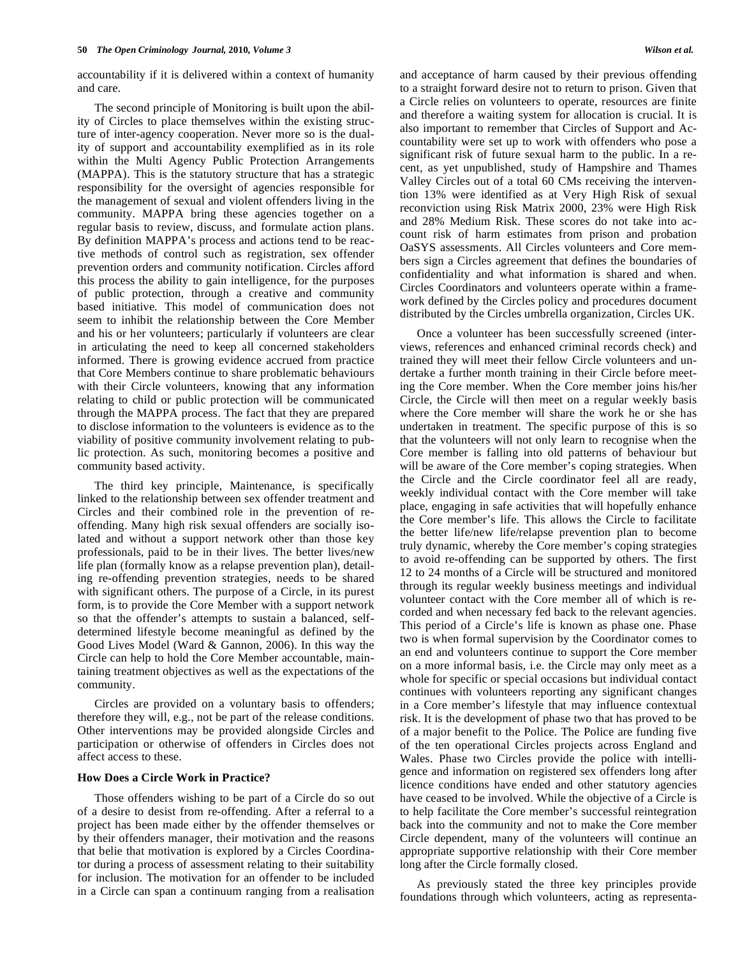accountability if it is delivered within a context of humanity and care.

The second principle of Monitoring is built upon the ability of Circles to place themselves within the existing structure of inter-agency cooperation. Never more so is the duality of support and accountability exemplified as in its role within the Multi Agency Public Protection Arrangements (MAPPA). This is the statutory structure that has a strategic responsibility for the oversight of agencies responsible for the management of sexual and violent offenders living in the community. MAPPA bring these agencies together on a regular basis to review, discuss, and formulate action plans. By definition MAPPA's process and actions tend to be reactive methods of control such as registration, sex offender prevention orders and community notification. Circles afford this process the ability to gain intelligence, for the purposes of public protection, through a creative and community based initiative. This model of communication does not seem to inhibit the relationship between the Core Member and his or her volunteers; particularly if volunteers are clear in articulating the need to keep all concerned stakeholders informed. There is growing evidence accrued from practice that Core Members continue to share problematic behaviours with their Circle volunteers, knowing that any information relating to child or public protection will be communicated through the MAPPA process. The fact that they are prepared to disclose information to the volunteers is evidence as to the viability of positive community involvement relating to public protection. As such, monitoring becomes a positive and community based activity.

The third key principle, Maintenance, is specifically linked to the relationship between sex offender treatment and Circles and their combined role in the prevention of reoffending. Many high risk sexual offenders are socially isolated and without a support network other than those key professionals, paid to be in their lives. The better lives/new life plan (formally know as a relapse prevention plan), detailing re-offending prevention strategies, needs to be shared with significant others. The purpose of a Circle, in its purest form, is to provide the Core Member with a support network so that the offender's attempts to sustain a balanced, selfdetermined lifestyle become meaningful as defined by the Good Lives Model (Ward & Gannon, 2006). In this way the Circle can help to hold the Core Member accountable, maintaining treatment objectives as well as the expectations of the community.

Circles are provided on a voluntary basis to offenders; therefore they will, e.g., not be part of the release conditions. Other interventions may be provided alongside Circles and participation or otherwise of offenders in Circles does not affect access to these.

# **How Does a Circle Work in Practice?**

Those offenders wishing to be part of a Circle do so out of a desire to desist from re-offending. After a referral to a project has been made either by the offender themselves or by their offenders manager, their motivation and the reasons that belie that motivation is explored by a Circles Coordinator during a process of assessment relating to their suitability for inclusion. The motivation for an offender to be included in a Circle can span a continuum ranging from a realisation

and acceptance of harm caused by their previous offending to a straight forward desire not to return to prison. Given that a Circle relies on volunteers to operate, resources are finite and therefore a waiting system for allocation is crucial. It is also important to remember that Circles of Support and Accountability were set up to work with offenders who pose a significant risk of future sexual harm to the public. In a recent, as yet unpublished, study of Hampshire and Thames Valley Circles out of a total 60 CMs receiving the intervention 13% were identified as at Very High Risk of sexual reconviction using Risk Matrix 2000, 23% were High Risk and 28% Medium Risk. These scores do not take into account risk of harm estimates from prison and probation OaSYS assessments. All Circles volunteers and Core members sign a Circles agreement that defines the boundaries of confidentiality and what information is shared and when. Circles Coordinators and volunteers operate within a framework defined by the Circles policy and procedures document distributed by the Circles umbrella organization, Circles UK.

Once a volunteer has been successfully screened (interviews, references and enhanced criminal records check) and trained they will meet their fellow Circle volunteers and undertake a further month training in their Circle before meeting the Core member. When the Core member joins his/her Circle, the Circle will then meet on a regular weekly basis where the Core member will share the work he or she has undertaken in treatment. The specific purpose of this is so that the volunteers will not only learn to recognise when the Core member is falling into old patterns of behaviour but will be aware of the Core member's coping strategies. When the Circle and the Circle coordinator feel all are ready, weekly individual contact with the Core member will take place, engaging in safe activities that will hopefully enhance the Core member's life. This allows the Circle to facilitate the better life/new life/relapse prevention plan to become truly dynamic, whereby the Core member's coping strategies to avoid re-offending can be supported by others. The first 12 to 24 months of a Circle will be structured and monitored through its regular weekly business meetings and individual volunteer contact with the Core member all of which is recorded and when necessary fed back to the relevant agencies. This period of a Circle's life is known as phase one. Phase two is when formal supervision by the Coordinator comes to an end and volunteers continue to support the Core member on a more informal basis, i.e. the Circle may only meet as a whole for specific or special occasions but individual contact continues with volunteers reporting any significant changes in a Core member's lifestyle that may influence contextual risk. It is the development of phase two that has proved to be of a major benefit to the Police. The Police are funding five of the ten operational Circles projects across England and Wales. Phase two Circles provide the police with intelligence and information on registered sex offenders long after licence conditions have ended and other statutory agencies have ceased to be involved. While the objective of a Circle is to help facilitate the Core member's successful reintegration back into the community and not to make the Core member Circle dependent, many of the volunteers will continue an appropriate supportive relationship with their Core member long after the Circle formally closed.

As previously stated the three key principles provide foundations through which volunteers, acting as representa-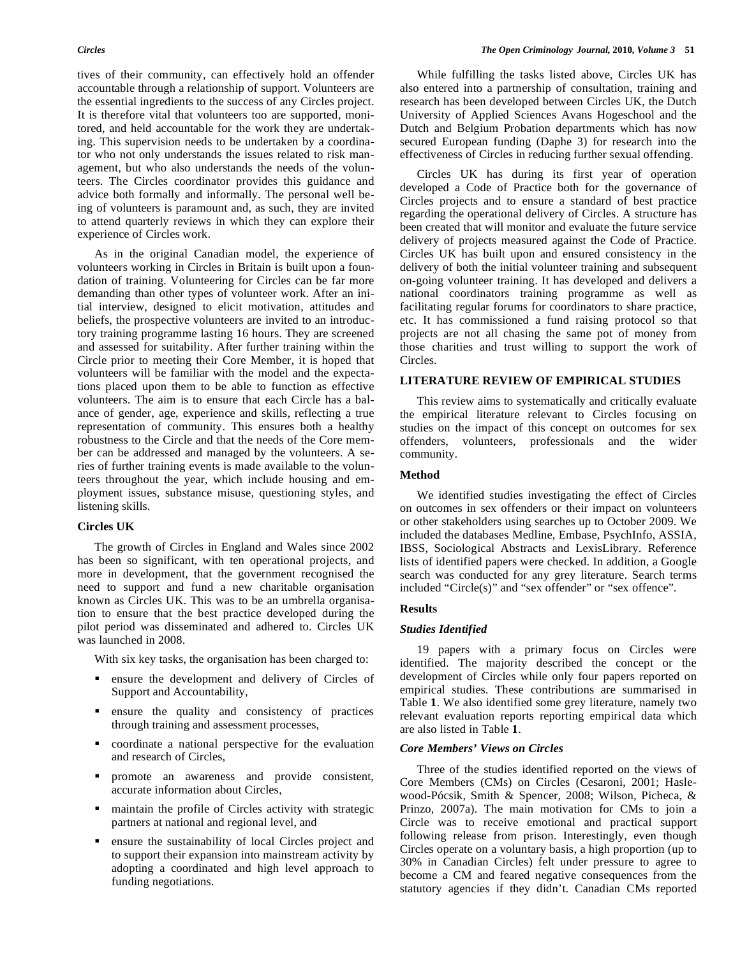tives of their community, can effectively hold an offender accountable through a relationship of support. Volunteers are the essential ingredients to the success of any Circles project. It is therefore vital that volunteers too are supported, monitored, and held accountable for the work they are undertaking. This supervision needs to be undertaken by a coordinator who not only understands the issues related to risk management, but who also understands the needs of the volunteers. The Circles coordinator provides this guidance and advice both formally and informally. The personal well being of volunteers is paramount and, as such, they are invited to attend quarterly reviews in which they can explore their experience of Circles work.

As in the original Canadian model, the experience of volunteers working in Circles in Britain is built upon a foundation of training. Volunteering for Circles can be far more demanding than other types of volunteer work. After an initial interview, designed to elicit motivation, attitudes and beliefs, the prospective volunteers are invited to an introductory training programme lasting 16 hours. They are screened and assessed for suitability. After further training within the Circle prior to meeting their Core Member, it is hoped that volunteers will be familiar with the model and the expectations placed upon them to be able to function as effective volunteers. The aim is to ensure that each Circle has a balance of gender, age, experience and skills, reflecting a true representation of community. This ensures both a healthy robustness to the Circle and that the needs of the Core member can be addressed and managed by the volunteers. A series of further training events is made available to the volunteers throughout the year, which include housing and employment issues, substance misuse, questioning styles, and listening skills.

# **Circles UK**

The growth of Circles in England and Wales since 2002 has been so significant, with ten operational projects, and more in development, that the government recognised the need to support and fund a new charitable organisation known as Circles UK. This was to be an umbrella organisation to ensure that the best practice developed during the pilot period was disseminated and adhered to. Circles UK was launched in 2008.

With six key tasks, the organisation has been charged to:

- **Exercise** ensure the development and delivery of Circles of Support and Accountability,
- ensure the quality and consistency of practices through training and assessment processes,
- coordinate a national perspective for the evaluation and research of Circles,
- promote an awareness and provide consistent, accurate information about Circles,
- maintain the profile of Circles activity with strategic partners at national and regional level, and
- ensure the sustainability of local Circles project and to support their expansion into mainstream activity by adopting a coordinated and high level approach to funding negotiations.

While fulfilling the tasks listed above, Circles UK has also entered into a partnership of consultation, training and research has been developed between Circles UK, the Dutch University of Applied Sciences Avans Hogeschool and the Dutch and Belgium Probation departments which has now secured European funding (Daphe 3) for research into the effectiveness of Circles in reducing further sexual offending.

Circles UK has during its first year of operation developed a Code of Practice both for the governance of Circles projects and to ensure a standard of best practice regarding the operational delivery of Circles. A structure has been created that will monitor and evaluate the future service delivery of projects measured against the Code of Practice. Circles UK has built upon and ensured consistency in the delivery of both the initial volunteer training and subsequent on-going volunteer training. It has developed and delivers a national coordinators training programme as well as facilitating regular forums for coordinators to share practice, etc. It has commissioned a fund raising protocol so that projects are not all chasing the same pot of money from those charities and trust willing to support the work of Circles.

# **LITERATURE REVIEW OF EMPIRICAL STUDIES**

This review aims to systematically and critically evaluate the empirical literature relevant to Circles focusing on studies on the impact of this concept on outcomes for sex offenders, volunteers, professionals and the wider community.

# **Method**

We identified studies investigating the effect of Circles on outcomes in sex offenders or their impact on volunteers or other stakeholders using searches up to October 2009. We included the databases Medline, Embase, PsychInfo, ASSIA, IBSS, Sociological Abstracts and LexisLibrary. Reference lists of identified papers were checked. In addition, a Google search was conducted for any grey literature. Search terms included "Circle(s)" and "sex offender" or "sex offence".

# **Results**

### *Studies Identified*

19 papers with a primary focus on Circles were identified. The majority described the concept or the development of Circles while only four papers reported on empirical studies. These contributions are summarised in Table **1**. We also identified some grey literature, namely two relevant evaluation reports reporting empirical data which are also listed in Table **1**.

# *Core Members' Views on Circles*

Three of the studies identified reported on the views of Core Members (CMs) on Circles (Cesaroni, 2001; Haslewood-Pócsik, Smith & Spencer, 2008; Wilson, Picheca, & Prinzo, 2007a). The main motivation for CMs to join a Circle was to receive emotional and practical support following release from prison. Interestingly, even though Circles operate on a voluntary basis, a high proportion (up to 30% in Canadian Circles) felt under pressure to agree to become a CM and feared negative consequences from the statutory agencies if they didn't. Canadian CMs reported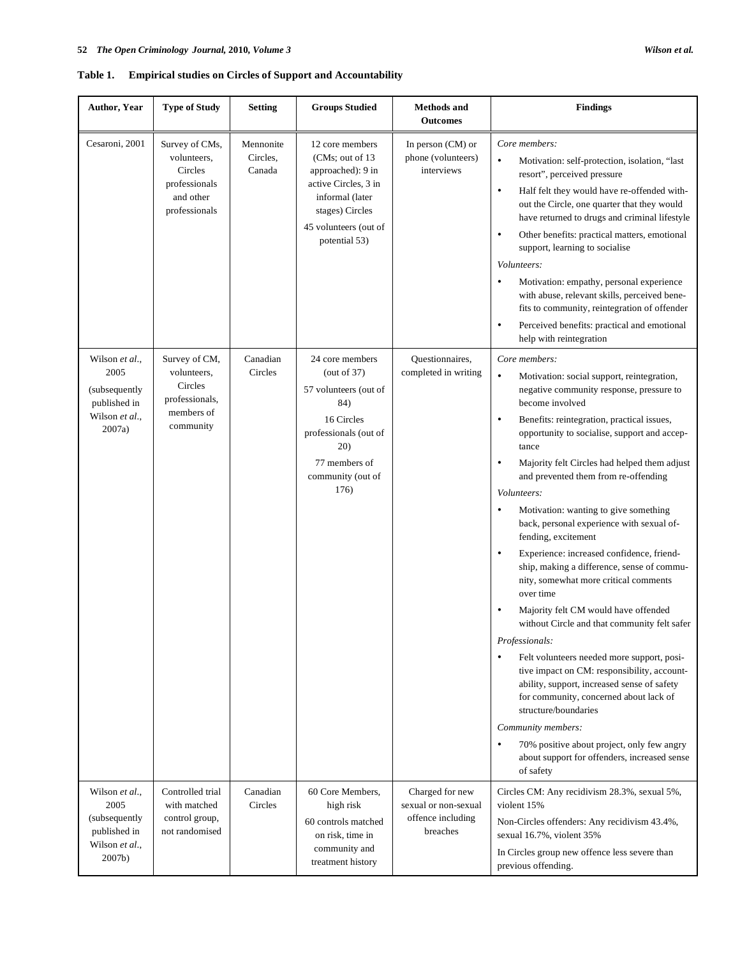# **Table 1. Empirical studies on Circles of Support and Accountability**

| Author, Year                                                                         | <b>Type of Study</b>                                                                    | <b>Setting</b>                  | <b>Groups Studied</b>                                                                                                                                            | <b>Methods and</b><br><b>Outcomes</b>                                    | <b>Findings</b>                                                                                                                                                                                                                                                                                                                                                                                                                                                                                                                                                                                                                                                                                                                                                                                                                                                                                                                                                                                                                                                                                                                                            |
|--------------------------------------------------------------------------------------|-----------------------------------------------------------------------------------------|---------------------------------|------------------------------------------------------------------------------------------------------------------------------------------------------------------|--------------------------------------------------------------------------|------------------------------------------------------------------------------------------------------------------------------------------------------------------------------------------------------------------------------------------------------------------------------------------------------------------------------------------------------------------------------------------------------------------------------------------------------------------------------------------------------------------------------------------------------------------------------------------------------------------------------------------------------------------------------------------------------------------------------------------------------------------------------------------------------------------------------------------------------------------------------------------------------------------------------------------------------------------------------------------------------------------------------------------------------------------------------------------------------------------------------------------------------------|
| Cesaroni, 2001                                                                       | Survey of CMs,<br>volunteers.<br>Circles<br>professionals<br>and other<br>professionals | Mennonite<br>Circles,<br>Canada | 12 core members<br>(CMs: out of 13)<br>approached): 9 in<br>active Circles, 3 in<br>informal (later<br>stages) Circles<br>45 volunteers (out of<br>potential 53) | In person $(CM)$ or<br>phone (volunteers)<br>interviews                  | Core members:<br>Motivation: self-protection, isolation, "last<br>$\bullet$<br>resort", perceived pressure<br>Half felt they would have re-offended with-<br>$\bullet$<br>out the Circle, one quarter that they would<br>have returned to drugs and criminal lifestyle<br>Other benefits: practical matters, emotional<br>$\bullet$<br>support, learning to socialise<br>Volunteers:<br>Motivation: empathy, personal experience<br>$\bullet$<br>with abuse, relevant skills, perceived bene-<br>fits to community, reintegration of offender<br>Perceived benefits: practical and emotional<br>$\bullet$<br>help with reintegration                                                                                                                                                                                                                                                                                                                                                                                                                                                                                                                       |
| Wilson et al.,<br>2005<br>(subsequently<br>published in<br>Wilson et al.,<br>2007a)  | Survey of CM,<br>volunteers,<br>Circles<br>professionals,<br>members of<br>community    | Canadian<br>Circles             | 24 core members<br>(out of 37)<br>57 volunteers (out of<br>84)<br>16 Circles<br>professionals (out of<br>20)<br>77 members of<br>community (out of<br>176)       | Questionnaires,<br>completed in writing                                  | Core members:<br>$\bullet$<br>Motivation: social support, reintegration,<br>negative community response, pressure to<br>become involved<br>Benefits: reintegration, practical issues,<br>$\bullet$<br>opportunity to socialise, support and accep-<br>tance<br>Majority felt Circles had helped them adjust<br>$\bullet$<br>and prevented them from re-offending<br>Volunteers:<br>Motivation: wanting to give something<br>$\bullet$<br>back, personal experience with sexual of-<br>fending, excitement<br>Experience: increased confidence, friend-<br>$\bullet$<br>ship, making a difference, sense of commu-<br>nity, somewhat more critical comments<br>over time<br>Majority felt CM would have offended<br>without Circle and that community felt safer<br>Professionals:<br>Felt volunteers needed more support, posi-<br>$\bullet$<br>tive impact on CM: responsibility, account-<br>ability, support, increased sense of safety<br>for community, concerned about lack of<br>structure/boundaries<br>Community members:<br>70% positive about project, only few angry<br>$\bullet$<br>about support for offenders, increased sense<br>of safety |
| Wilson et al.,<br>2005<br>(subsequently)<br>published in<br>Wilson et al.,<br>2007b) | Controlled trial<br>with matched<br>control group,<br>not randomised                    | Canadian<br>Circles             | 60 Core Members,<br>high risk<br>60 controls matched<br>on risk, time in<br>community and<br>treatment history                                                   | Charged for new<br>sexual or non-sexual<br>offence including<br>breaches | Circles CM: Any recidivism 28.3%, sexual 5%,<br>violent 15%<br>Non-Circles offenders: Any recidivism 43.4%,<br>sexual 16.7%, violent 35%<br>In Circles group new offence less severe than<br>previous offending.                                                                                                                                                                                                                                                                                                                                                                                                                                                                                                                                                                                                                                                                                                                                                                                                                                                                                                                                           |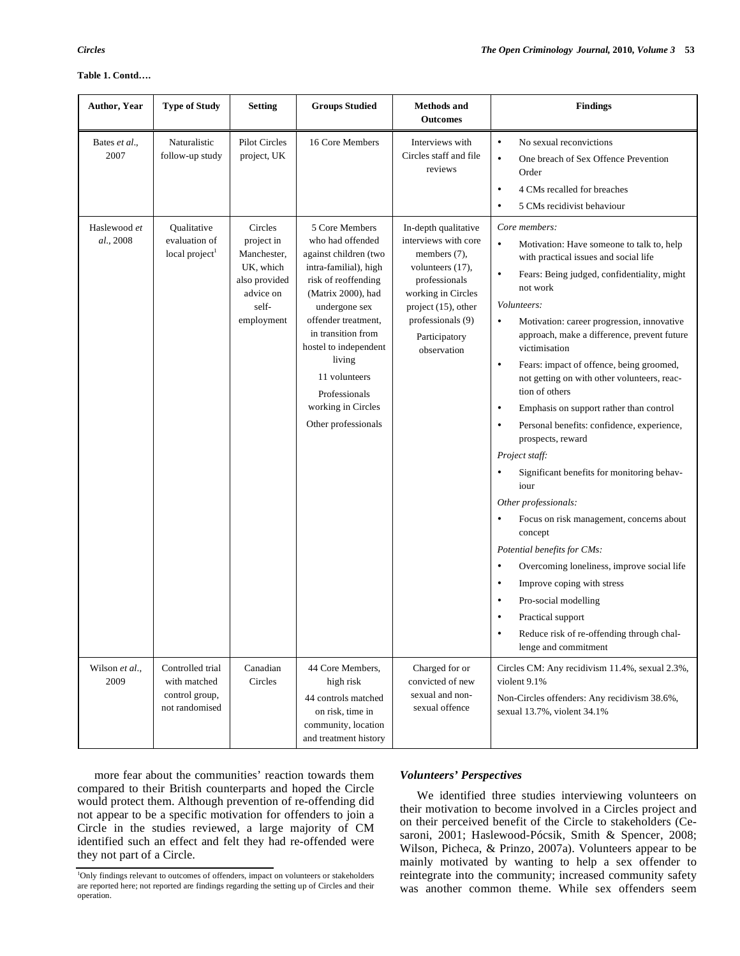| Author, Year              | <b>Type of Study</b>                                                 | <b>Setting</b>                                                                                         | <b>Groups Studied</b>                                                                                                                                                                                                                                                                                             | <b>Methods and</b><br><b>Outcomes</b>                                                                                                                                                               | <b>Findings</b>                                                                                                                                                                                                                                                                                                                                                                                                                                                                                                                                                                                                                                                                                                                                                                                                                                                                                                                                                                                                                                                        |
|---------------------------|----------------------------------------------------------------------|--------------------------------------------------------------------------------------------------------|-------------------------------------------------------------------------------------------------------------------------------------------------------------------------------------------------------------------------------------------------------------------------------------------------------------------|-----------------------------------------------------------------------------------------------------------------------------------------------------------------------------------------------------|------------------------------------------------------------------------------------------------------------------------------------------------------------------------------------------------------------------------------------------------------------------------------------------------------------------------------------------------------------------------------------------------------------------------------------------------------------------------------------------------------------------------------------------------------------------------------------------------------------------------------------------------------------------------------------------------------------------------------------------------------------------------------------------------------------------------------------------------------------------------------------------------------------------------------------------------------------------------------------------------------------------------------------------------------------------------|
| Bates et al.,<br>2007     | Naturalistic<br>follow-up study                                      | Pilot Circles<br>project, UK                                                                           | 16 Core Members                                                                                                                                                                                                                                                                                                   | Interviews with<br>Circles staff and file<br>reviews                                                                                                                                                | No sexual reconvictions<br>$\bullet$<br>$\bullet$<br>One breach of Sex Offence Prevention<br>Order<br>4 CMs recalled for breaches<br>٠<br>5 CMs recidivist behaviour<br>$\bullet$                                                                                                                                                                                                                                                                                                                                                                                                                                                                                                                                                                                                                                                                                                                                                                                                                                                                                      |
| Haslewood et<br>al., 2008 | Qualitative<br>evaluation of<br>local project <sup>1</sup>           | Circles<br>project in<br>Manchester,<br>UK, which<br>also provided<br>advice on<br>self-<br>employment | 5 Core Members<br>who had offended<br>against children (two<br>intra-familial), high<br>risk of reoffending<br>(Matrix 2000), had<br>undergone sex<br>offender treatment,<br>in transition from<br>hostel to independent<br>living<br>11 volunteers<br>Professionals<br>working in Circles<br>Other professionals | In-depth qualitative<br>interviews with core<br>members (7),<br>volunteers (17),<br>professionals<br>working in Circles<br>project (15), other<br>professionals (9)<br>Participatory<br>observation | Core members:<br>$\bullet$<br>Motivation: Have someone to talk to, help<br>with practical issues and social life<br>Fears: Being judged, confidentiality, might<br>$\bullet$<br>not work<br>Volunteers:<br>$\bullet$<br>Motivation: career progression, innovative<br>approach, make a difference, prevent future<br>victimisation<br>$\bullet$<br>Fears: impact of offence, being groomed,<br>not getting on with other volunteers, reac-<br>tion of others<br>Emphasis on support rather than control<br>$\bullet$<br>Personal benefits: confidence, experience,<br>$\bullet$<br>prospects, reward<br>Project staff:<br>Significant benefits for monitoring behav-<br>$\bullet$<br>iour<br>Other professionals:<br>Focus on risk management, concerns about<br>$\bullet$<br>concept<br>Potential benefits for CMs:<br>Overcoming loneliness, improve social life<br>$\bullet$<br>Improve coping with stress<br>$\bullet$<br>Pro-social modelling<br>$\bullet$<br>Practical support<br>$\bullet$<br>Reduce risk of re-offending through chal-<br>lenge and commitment |
| Wilson et al.,<br>2009    | Controlled trial<br>with matched<br>control group,<br>not randomised | Canadian<br>Circles                                                                                    | 44 Core Members,<br>high risk<br>44 controls matched<br>on risk, time in<br>community, location<br>and treatment history                                                                                                                                                                                          | Charged for or<br>convicted of new<br>sexual and non-<br>sexual offence                                                                                                                             | Circles CM: Any recidivism 11.4%, sexual 2.3%,<br>violent 9.1%<br>Non-Circles offenders: Any recidivism 38.6%,<br>sexual 13.7%, violent 34.1%                                                                                                                                                                                                                                                                                                                                                                                                                                                                                                                                                                                                                                                                                                                                                                                                                                                                                                                          |

more fear about the communities' reaction towards them compared to their British counterparts and hoped the Circle would protect them. Although prevention of re-offending did not appear to be a specific motivation for offenders to join a Circle in the studies reviewed, a large majority of CM identified such an effect and felt they had re-offended were they not part of a Circle.

#### <sup>1</sup>Only findings relevant to outcomes of offenders, impact on volunteers or stakeholders are reported here; not reported are findings regarding the setting up of Circles and their operation.

# *Volunteers' Perspectives*

We identified three studies interviewing volunteers on their motivation to become involved in a Circles project and on their perceived benefit of the Circle to stakeholders (Cesaroni, 2001; Haslewood-Pócsik, Smith & Spencer, 2008; Wilson, Picheca, & Prinzo, 2007a). Volunteers appear to be mainly motivated by wanting to help a sex offender to reintegrate into the community; increased community safety was another common theme. While sex offenders seem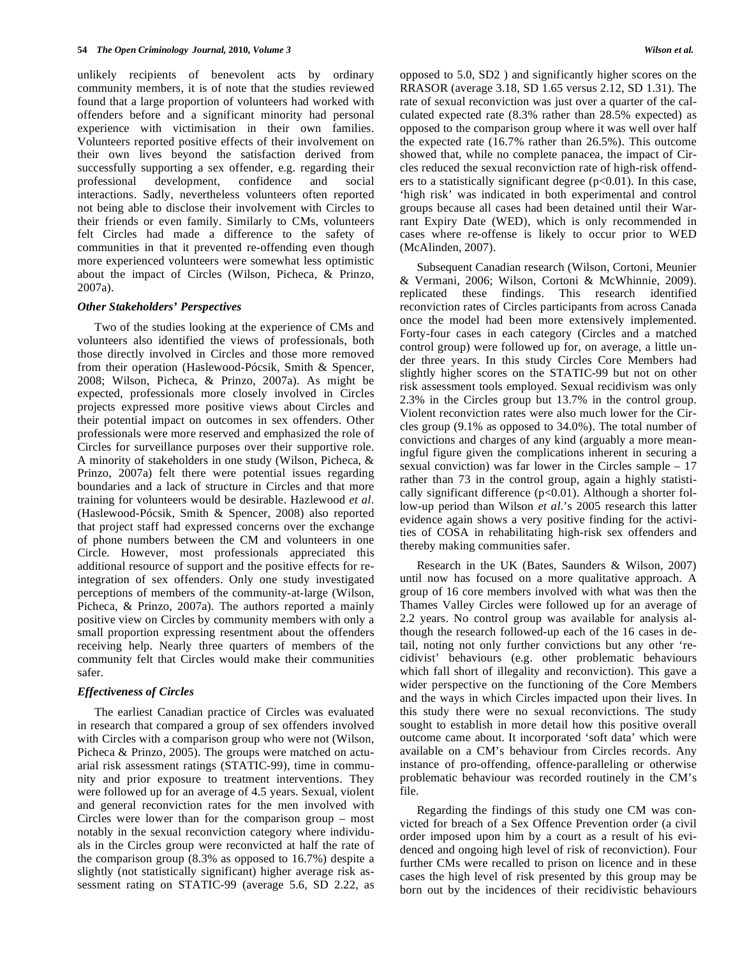unlikely recipients of benevolent acts by ordinary community members, it is of note that the studies reviewed found that a large proportion of volunteers had worked with offenders before and a significant minority had personal experience with victimisation in their own families. Volunteers reported positive effects of their involvement on their own lives beyond the satisfaction derived from successfully supporting a sex offender, e.g. regarding their professional development, confidence and social interactions. Sadly, nevertheless volunteers often reported not being able to disclose their involvement with Circles to their friends or even family. Similarly to CMs, volunteers felt Circles had made a difference to the safety of communities in that it prevented re-offending even though more experienced volunteers were somewhat less optimistic about the impact of Circles (Wilson, Picheca, & Prinzo, 2007a).

# *Other Stakeholders' Perspectives*

Two of the studies looking at the experience of CMs and volunteers also identified the views of professionals, both those directly involved in Circles and those more removed from their operation (Haslewood-Pócsik, Smith & Spencer, 2008; Wilson, Picheca, & Prinzo, 2007a). As might be expected, professionals more closely involved in Circles projects expressed more positive views about Circles and their potential impact on outcomes in sex offenders. Other professionals were more reserved and emphasized the role of Circles for surveillance purposes over their supportive role. A minority of stakeholders in one study (Wilson, Picheca, & Prinzo, 2007a) felt there were potential issues regarding boundaries and a lack of structure in Circles and that more training for volunteers would be desirable. Hazlewood *et al*. (Haslewood-Pócsik, Smith & Spencer, 2008) also reported that project staff had expressed concerns over the exchange of phone numbers between the CM and volunteers in one Circle. However, most professionals appreciated this additional resource of support and the positive effects for reintegration of sex offenders. Only one study investigated perceptions of members of the community-at-large (Wilson, Picheca, & Prinzo, 2007a). The authors reported a mainly positive view on Circles by community members with only a small proportion expressing resentment about the offenders receiving help. Nearly three quarters of members of the community felt that Circles would make their communities safer.

# *Effectiveness of Circles*

The earliest Canadian practice of Circles was evaluated in research that compared a group of sex offenders involved with Circles with a comparison group who were not (Wilson, Picheca & Prinzo, 2005). The groups were matched on actuarial risk assessment ratings (STATIC-99), time in community and prior exposure to treatment interventions. They were followed up for an average of 4.5 years. Sexual, violent and general reconviction rates for the men involved with Circles were lower than for the comparison group – most notably in the sexual reconviction category where individuals in the Circles group were reconvicted at half the rate of the comparison group (8.3% as opposed to 16.7%) despite a slightly (not statistically significant) higher average risk assessment rating on STATIC-99 (average 5.6, SD 2.22, as

opposed to 5.0, SD2 ) and significantly higher scores on the RRASOR (average 3.18, SD 1.65 versus 2.12, SD 1.31). The rate of sexual reconviction was just over a quarter of the calculated expected rate (8.3% rather than 28.5% expected) as opposed to the comparison group where it was well over half the expected rate (16.7% rather than 26.5%). This outcome showed that, while no complete panacea, the impact of Circles reduced the sexual reconviction rate of high-risk offenders to a statistically significant degree  $(p<0.01)$ . In this case, 'high risk' was indicated in both experimental and control groups because all cases had been detained until their Warrant Expiry Date (WED), which is only recommended in cases where re-offense is likely to occur prior to WED (McAlinden, 2007).

Subsequent Canadian research (Wilson, Cortoni, Meunier & Vermani, 2006; Wilson, Cortoni & McWhinnie, 2009). replicated these findings. This research identified reconviction rates of Circles participants from across Canada once the model had been more extensively implemented. Forty-four cases in each category (Circles and a matched control group) were followed up for, on average, a little under three years. In this study Circles Core Members had slightly higher scores on the STATIC-99 but not on other risk assessment tools employed. Sexual recidivism was only 2.3% in the Circles group but 13.7% in the control group. Violent reconviction rates were also much lower for the Circles group (9.1% as opposed to 34.0%). The total number of convictions and charges of any kind (arguably a more meaningful figure given the complications inherent in securing a sexual conviction) was far lower in the Circles sample – 17 rather than 73 in the control group, again a highly statistically significant difference  $(p<0.01)$ . Although a shorter follow-up period than Wilson *et al*.'s 2005 research this latter evidence again shows a very positive finding for the activities of COSA in rehabilitating high-risk sex offenders and thereby making communities safer.

Research in the UK (Bates, Saunders & Wilson, 2007) until now has focused on a more qualitative approach. A group of 16 core members involved with what was then the Thames Valley Circles were followed up for an average of 2.2 years. No control group was available for analysis although the research followed-up each of the 16 cases in detail, noting not only further convictions but any other 'recidivist' behaviours (e.g. other problematic behaviours which fall short of illegality and reconviction). This gave a wider perspective on the functioning of the Core Members and the ways in which Circles impacted upon their lives. In this study there were no sexual reconvictions. The study sought to establish in more detail how this positive overall outcome came about. It incorporated 'soft data' which were available on a CM's behaviour from Circles records. Any instance of pro-offending, offence-paralleling or otherwise problematic behaviour was recorded routinely in the CM's file.

Regarding the findings of this study one CM was convicted for breach of a Sex Offence Prevention order (a civil order imposed upon him by a court as a result of his evidenced and ongoing high level of risk of reconviction). Four further CMs were recalled to prison on licence and in these cases the high level of risk presented by this group may be born out by the incidences of their recidivistic behaviours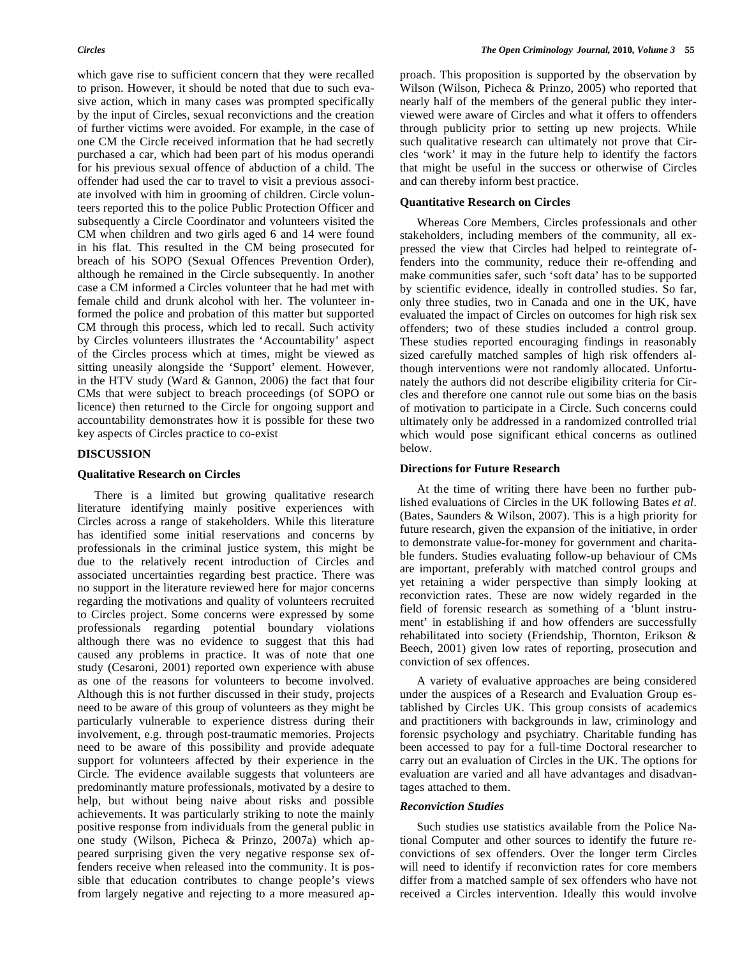which gave rise to sufficient concern that they were recalled to prison. However, it should be noted that due to such evasive action, which in many cases was prompted specifically by the input of Circles, sexual reconvictions and the creation of further victims were avoided. For example, in the case of one CM the Circle received information that he had secretly purchased a car, which had been part of his modus operandi for his previous sexual offence of abduction of a child. The offender had used the car to travel to visit a previous associate involved with him in grooming of children. Circle volunteers reported this to the police Public Protection Officer and subsequently a Circle Coordinator and volunteers visited the CM when children and two girls aged 6 and 14 were found in his flat. This resulted in the CM being prosecuted for breach of his SOPO (Sexual Offences Prevention Order), although he remained in the Circle subsequently. In another case a CM informed a Circles volunteer that he had met with female child and drunk alcohol with her. The volunteer informed the police and probation of this matter but supported CM through this process, which led to recall. Such activity by Circles volunteers illustrates the 'Accountability' aspect of the Circles process which at times, might be viewed as sitting uneasily alongside the 'Support' element. However, in the HTV study (Ward & Gannon, 2006) the fact that four CMs that were subject to breach proceedings (of SOPO or licence) then returned to the Circle for ongoing support and accountability demonstrates how it is possible for these two key aspects of Circles practice to co-exist

# **DISCUSSION**

# **Qualitative Research on Circles**

There is a limited but growing qualitative research literature identifying mainly positive experiences with Circles across a range of stakeholders. While this literature has identified some initial reservations and concerns by professionals in the criminal justice system, this might be due to the relatively recent introduction of Circles and associated uncertainties regarding best practice. There was no support in the literature reviewed here for major concerns regarding the motivations and quality of volunteers recruited to Circles project. Some concerns were expressed by some professionals regarding potential boundary violations although there was no evidence to suggest that this had caused any problems in practice. It was of note that one study (Cesaroni, 2001) reported own experience with abuse as one of the reasons for volunteers to become involved. Although this is not further discussed in their study, projects need to be aware of this group of volunteers as they might be particularly vulnerable to experience distress during their involvement, e.g. through post-traumatic memories. Projects need to be aware of this possibility and provide adequate support for volunteers affected by their experience in the Circle. The evidence available suggests that volunteers are predominantly mature professionals, motivated by a desire to help, but without being naive about risks and possible achievements. It was particularly striking to note the mainly positive response from individuals from the general public in one study (Wilson, Picheca & Prinzo, 2007a) which appeared surprising given the very negative response sex offenders receive when released into the community. It is possible that education contributes to change people's views from largely negative and rejecting to a more measured approach. This proposition is supported by the observation by Wilson (Wilson, Picheca & Prinzo, 2005) who reported that nearly half of the members of the general public they interviewed were aware of Circles and what it offers to offenders through publicity prior to setting up new projects. While such qualitative research can ultimately not prove that Circles 'work' it may in the future help to identify the factors that might be useful in the success or otherwise of Circles and can thereby inform best practice.

# **Quantitative Research on Circles**

Whereas Core Members, Circles professionals and other stakeholders, including members of the community, all expressed the view that Circles had helped to reintegrate offenders into the community, reduce their re-offending and make communities safer, such 'soft data' has to be supported by scientific evidence, ideally in controlled studies. So far, only three studies, two in Canada and one in the UK, have evaluated the impact of Circles on outcomes for high risk sex offenders; two of these studies included a control group. These studies reported encouraging findings in reasonably sized carefully matched samples of high risk offenders although interventions were not randomly allocated. Unfortunately the authors did not describe eligibility criteria for Circles and therefore one cannot rule out some bias on the basis of motivation to participate in a Circle. Such concerns could ultimately only be addressed in a randomized controlled trial which would pose significant ethical concerns as outlined below.

# **Directions for Future Research**

At the time of writing there have been no further published evaluations of Circles in the UK following Bates *et al*. (Bates, Saunders & Wilson, 2007). This is a high priority for future research, given the expansion of the initiative, in order to demonstrate value-for-money for government and charitable funders. Studies evaluating follow-up behaviour of CMs are important, preferably with matched control groups and yet retaining a wider perspective than simply looking at reconviction rates. These are now widely regarded in the field of forensic research as something of a 'blunt instrument' in establishing if and how offenders are successfully rehabilitated into society (Friendship, Thornton, Erikson & Beech, 2001) given low rates of reporting, prosecution and conviction of sex offences.

A variety of evaluative approaches are being considered under the auspices of a Research and Evaluation Group established by Circles UK. This group consists of academics and practitioners with backgrounds in law, criminology and forensic psychology and psychiatry. Charitable funding has been accessed to pay for a full-time Doctoral researcher to carry out an evaluation of Circles in the UK. The options for evaluation are varied and all have advantages and disadvantages attached to them.

# *Reconviction Studies*

Such studies use statistics available from the Police National Computer and other sources to identify the future reconvictions of sex offenders. Over the longer term Circles will need to identify if reconviction rates for core members differ from a matched sample of sex offenders who have not received a Circles intervention. Ideally this would involve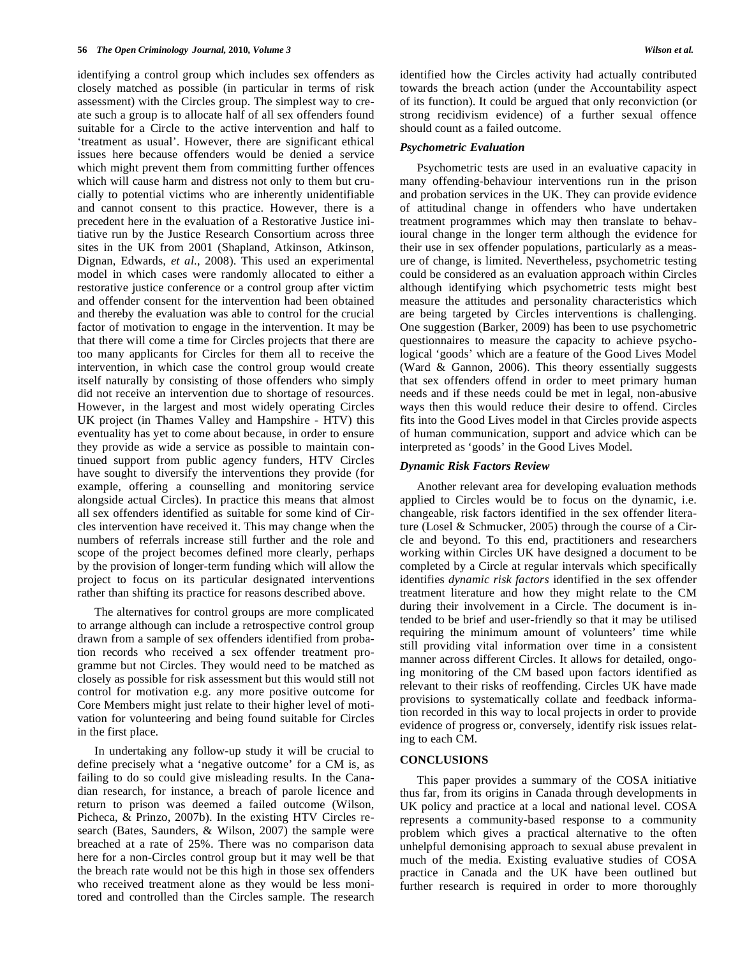identifying a control group which includes sex offenders as closely matched as possible (in particular in terms of risk assessment) with the Circles group. The simplest way to create such a group is to allocate half of all sex offenders found suitable for a Circle to the active intervention and half to 'treatment as usual'. However, there are significant ethical issues here because offenders would be denied a service which might prevent them from committing further offences which will cause harm and distress not only to them but crucially to potential victims who are inherently unidentifiable and cannot consent to this practice. However, there is a precedent here in the evaluation of a Restorative Justice initiative run by the Justice Research Consortium across three sites in the UK from 2001 (Shapland, Atkinson, Atkinson, Dignan, Edwards, *et al*., 2008). This used an experimental model in which cases were randomly allocated to either a restorative justice conference or a control group after victim and offender consent for the intervention had been obtained and thereby the evaluation was able to control for the crucial factor of motivation to engage in the intervention. It may be that there will come a time for Circles projects that there are too many applicants for Circles for them all to receive the intervention, in which case the control group would create itself naturally by consisting of those offenders who simply did not receive an intervention due to shortage of resources. However, in the largest and most widely operating Circles UK project (in Thames Valley and Hampshire - HTV) this eventuality has yet to come about because, in order to ensure they provide as wide a service as possible to maintain continued support from public agency funders, HTV Circles have sought to diversify the interventions they provide (for example, offering a counselling and monitoring service alongside actual Circles). In practice this means that almost all sex offenders identified as suitable for some kind of Circles intervention have received it. This may change when the numbers of referrals increase still further and the role and scope of the project becomes defined more clearly, perhaps by the provision of longer-term funding which will allow the project to focus on its particular designated interventions rather than shifting its practice for reasons described above.

The alternatives for control groups are more complicated to arrange although can include a retrospective control group drawn from a sample of sex offenders identified from probation records who received a sex offender treatment programme but not Circles. They would need to be matched as closely as possible for risk assessment but this would still not control for motivation e.g. any more positive outcome for Core Members might just relate to their higher level of motivation for volunteering and being found suitable for Circles in the first place.

In undertaking any follow-up study it will be crucial to define precisely what a 'negative outcome' for a CM is, as failing to do so could give misleading results. In the Canadian research, for instance, a breach of parole licence and return to prison was deemed a failed outcome (Wilson, Picheca, & Prinzo, 2007b). In the existing HTV Circles research (Bates, Saunders, & Wilson, 2007) the sample were breached at a rate of 25%. There was no comparison data here for a non-Circles control group but it may well be that the breach rate would not be this high in those sex offenders who received treatment alone as they would be less monitored and controlled than the Circles sample. The research

identified how the Circles activity had actually contributed towards the breach action (under the Accountability aspect of its function). It could be argued that only reconviction (or strong recidivism evidence) of a further sexual offence should count as a failed outcome.

# *Psychometric Evaluation*

Psychometric tests are used in an evaluative capacity in many offending-behaviour interventions run in the prison and probation services in the UK. They can provide evidence of attitudinal change in offenders who have undertaken treatment programmes which may then translate to behavioural change in the longer term although the evidence for their use in sex offender populations, particularly as a measure of change, is limited. Nevertheless, psychometric testing could be considered as an evaluation approach within Circles although identifying which psychometric tests might best measure the attitudes and personality characteristics which are being targeted by Circles interventions is challenging. One suggestion (Barker, 2009) has been to use psychometric questionnaires to measure the capacity to achieve psychological 'goods' which are a feature of the Good Lives Model (Ward & Gannon, 2006). This theory essentially suggests that sex offenders offend in order to meet primary human needs and if these needs could be met in legal, non-abusive ways then this would reduce their desire to offend. Circles fits into the Good Lives model in that Circles provide aspects of human communication, support and advice which can be interpreted as 'goods' in the Good Lives Model.

# *Dynamic Risk Factors Review*

Another relevant area for developing evaluation methods applied to Circles would be to focus on the dynamic, i.e. changeable, risk factors identified in the sex offender literature (Losel & Schmucker, 2005) through the course of a Circle and beyond. To this end, practitioners and researchers working within Circles UK have designed a document to be completed by a Circle at regular intervals which specifically identifies *dynamic risk factors* identified in the sex offender treatment literature and how they might relate to the CM during their involvement in a Circle. The document is intended to be brief and user-friendly so that it may be utilised requiring the minimum amount of volunteers' time while still providing vital information over time in a consistent manner across different Circles. It allows for detailed, ongoing monitoring of the CM based upon factors identified as relevant to their risks of reoffending. Circles UK have made provisions to systematically collate and feedback information recorded in this way to local projects in order to provide evidence of progress or, conversely, identify risk issues relating to each CM.

# **CONCLUSIONS**

This paper provides a summary of the COSA initiative thus far, from its origins in Canada through developments in UK policy and practice at a local and national level. COSA represents a community-based response to a community problem which gives a practical alternative to the often unhelpful demonising approach to sexual abuse prevalent in much of the media. Existing evaluative studies of COSA practice in Canada and the UK have been outlined but further research is required in order to more thoroughly